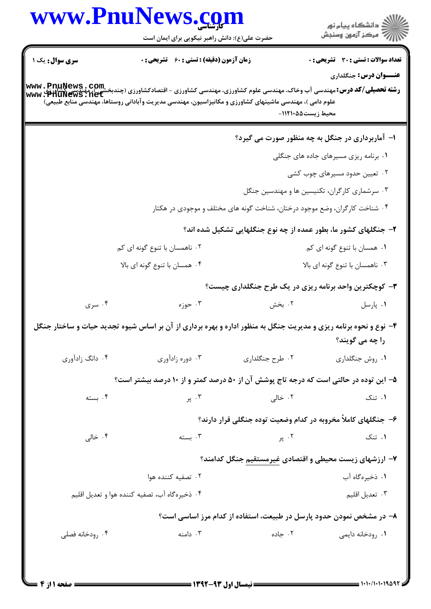|                        | www.PnuNews.com<br>حضرت علی(ع): دانش راهبر نیکویی برای ایمان است                                                                                                                                                                                                                                               |                             | ڪ دانشڪاه پيا <sub>م</sub> نور<br>۾ سرڪز آزمون وسنڊش                          |  |  |
|------------------------|----------------------------------------------------------------------------------------------------------------------------------------------------------------------------------------------------------------------------------------------------------------------------------------------------------------|-----------------------------|-------------------------------------------------------------------------------|--|--|
| <b>سری سوال :</b> یک ۱ | <b>زمان آزمون (دقیقه) : تستی : 60 ٪ تشریحی : 0</b><br><b>رشته تحصیلی/کد درس:</b> مهندسی آب وخاک، مهندسی علوم کشاورزی، مهندسی کشاورزی - اقتصادکشاورزی (چندبخشی)، مهندسی کشاور<br>www . PhuNews . net<br>علوم دامی )، مهندسی ماشینهای کشاورزی و مکانیزاسیون، مهندسی مدیریت وآبادانی روستاها، مهندسی منابع طبیعی) |                             | <b>تعداد سوالات : تستی : 30 ٪ تشریحی : 0</b><br><b>عنـــوان درس:</b> جنگلداری |  |  |
|                        |                                                                                                                                                                                                                                                                                                                |                             | محيط زيست451110-                                                              |  |  |
|                        |                                                                                                                                                                                                                                                                                                                |                             | ا- آماربرداری در جنگل به چه منظور صورت می گیرد؟                               |  |  |
|                        | ۰۱ برنامه ریزی مسیرهای جاده های جنگلی                                                                                                                                                                                                                                                                          |                             |                                                                               |  |  |
|                        |                                                                                                                                                                                                                                                                                                                |                             | ۰۲ تعیین حدود مسیرهای چوب کشی                                                 |  |  |
|                        |                                                                                                                                                                                                                                                                                                                |                             | ۰۳ سرشماری کارگران، تکنیسین ها و مهندسین جنگل                                 |  |  |
|                        |                                                                                                                                                                                                                                                                                                                |                             | ۰۴ شناخت کارگران، وضع موجود درختان، شناخت گونه های مختلف و موجودی در هکتار    |  |  |
|                        |                                                                                                                                                                                                                                                                                                                |                             | ۲- جنگلهای کشور ما، بطور عمده از چه نوع جنگلهایی تشکیل شده اند؟               |  |  |
|                        | ۰۲ ناهمسان با تنوع گونه ای کم                                                                                                                                                                                                                                                                                  | ۰۱ همسان با تنوع گونه ای کم |                                                                               |  |  |
|                        | ۰۴ همسان با تنوع گونه ای بالا                                                                                                                                                                                                                                                                                  |                             | ۰۳ ناهمسان با تنوع گونه ای بالا                                               |  |  |
|                        |                                                                                                                                                                                                                                                                                                                |                             | ۳- کوچکترین واحد برنامه ریزی در یک طرح جنگلداری چیست؟                         |  |  |
| ۰۴ سری                 | ۰۳ حوزه                                                                                                                                                                                                                                                                                                        | ۰۲ بخش                      | ۰۱ پارسل                                                                      |  |  |
|                        | ۴- نوع و نحوه برنامه ریزی و مدیریت جنگل به منظور اداره و بهره برداری از آن بر اساس شیوه تجدید حیات و ساختار جنگل                                                                                                                                                                                               |                             | را چه می گویند؟                                                               |  |  |
| ۰۴ دانگ زادآوري        | ۰۳ دوره زادآوری                                                                                                                                                                                                                                                                                                | ۰۲ طرح جنگلداری             | ۰۱ روش جنگلداری                                                               |  |  |
|                        | ۵– این توده در حالتی است که درجه تاج پوشش آن از ۵۰ درصد کمتر و از ۱۰ درصد بیشتر است؟                                                                                                                                                                                                                           |                             |                                                                               |  |  |
| ۰۴ بسته                | ۰۳ پر                                                                                                                                                                                                                                                                                                          | ۰۲ خالی                     | ۰۱ تنک                                                                        |  |  |
|                        |                                                                                                                                                                                                                                                                                                                |                             | ۶- جنگلهای کاملاً مخروبه در کدام وضعیت توده جنگلی قرار دارند؟                 |  |  |
| ۰۴ خالی                | $\cdot$ ۳ بسته                                                                                                                                                                                                                                                                                                 | ۰۲ پر                       | ۰۱ تنک                                                                        |  |  |
|                        |                                                                                                                                                                                                                                                                                                                |                             | ۷- ارزشهای زیست محیطی و اقتصادی غیرمستقیم جنگل کدامند؟                        |  |  |
|                        | ۰۲ تصفیه کننده هوا                                                                                                                                                                                                                                                                                             |                             | ۰۱ ذخیرهگاه آب                                                                |  |  |
|                        | ۰۴ ذخیره گاه آب، تصفیه کننده هوا و تعدیل اقلیم                                                                                                                                                                                                                                                                 |                             | ۰۳ تعدیل اقلیم                                                                |  |  |
|                        |                                                                                                                                                                                                                                                                                                                |                             | ۸– در مشخص نمودن حدود پارسل در طبیعت، استفاده از کدام مرز اساسی است؟          |  |  |
| ۰۴ رودخانه فصلی        | ۰۳ دامنه                                                                                                                                                                                                                                                                                                       | ۰۲ جاده                     | ۰۱ رودخانه دایمی                                                              |  |  |
|                        |                                                                                                                                                                                                                                                                                                                |                             |                                                                               |  |  |
|                        |                                                                                                                                                                                                                                                                                                                |                             |                                                                               |  |  |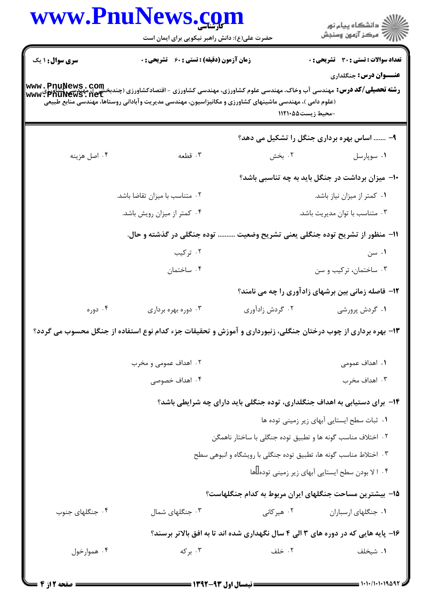|                        | حضرت علی(ع): دانش راهبر نیکویی برای ایمان است                                                                                                                                                                                                             |                                                                                  | ر<br>دانشڪاه پيام نور)<br>ا∛ مرڪز آزمون وسنڊش |
|------------------------|-----------------------------------------------------------------------------------------------------------------------------------------------------------------------------------------------------------------------------------------------------------|----------------------------------------------------------------------------------|-----------------------------------------------|
| <b>سری سوال : ۱ یک</b> | <b>زمان آزمون (دقیقه) : تستی : 60 ٪ تشریحی : 0</b>                                                                                                                                                                                                        |                                                                                  | <b>تعداد سوالات : تستی : 30 ٪ تشریحی : 0</b>  |
|                        | <b>رشته تحصیلی/کد درس:</b> مهندسی آب وخاک، مهندسی علوم کشاورزی، مهندسی کشاورزی - اقتصادکشاورزی (چندبخشی)، مهندسی تشاورز<br>www • PhuNews • net<br>(علوم دامی )، مهندسی ماشینهای کشاورزی و مکانیزاسیون، مهندسی مدیریت وآبادانی روستاها، مهندسی منابع طبیعی | -محيط زيست451111                                                                 | <b>عنـــوان درس:</b> جنگلداری                 |
|                        |                                                                                                                                                                                                                                                           | ۹-  اساس بهره برداری جنگل را تشکیل می دهد؟                                       |                                               |
| ۰۴ اصل هزينه           | ۰۳ قطعه                                                                                                                                                                                                                                                   | ۰۲ بخش                                                                           | ۰۱ سوپارسل                                    |
|                        |                                                                                                                                                                                                                                                           | ۱۰– میزان برداشت در جنگل باید به چه تناسبی باشد؟                                 |                                               |
|                        | ۰۲ متناسب با میزان تقاضا باشد.                                                                                                                                                                                                                            |                                                                                  | ۰۱ کمتر از میزان نیاز باشد.                   |
|                        | ۰۴ کمتر از میزان رویش باشد.                                                                                                                                                                                                                               |                                                                                  | ۰۳ متناسب با توان مدیریت باشد.                |
|                        | توده جنگلی در گذشته و حال.                                                                                                                                                                                                                                | ١١- منظور از تشريح توده جنگلي يعني تشريح وضعيت                                   |                                               |
|                        | ۰۲ ترکیب                                                                                                                                                                                                                                                  |                                                                                  | ۰۱ سن                                         |
|                        | ۰۴ ساختمان                                                                                                                                                                                                                                                |                                                                                  | ۰۳ ساختمان، ترکیب و سن                        |
|                        |                                                                                                                                                                                                                                                           | <b>۱۲</b> - فاصله زمانی بین برشهای زادآوری را چه می نامند؟                       |                                               |
| ۰۴ دوره                | ۰۳ دوره بهره برداری                                                                                                                                                                                                                                       | ۰۲ گردش زادآوری                                                                  | ۰۱ گردش پرورشی                                |
|                        | ۱۳- بهره برداری از چوب درختان جنگلی، زنبورداری و آموزش و تحقیقات جزء کدام نوع استفاده از جنگل محسوب می گردد؟                                                                                                                                              |                                                                                  |                                               |
|                        | ۲. اهداف عمومی و مخرب                                                                                                                                                                                                                                     |                                                                                  | ١. اهداف عمومي                                |
|                        | ۰۴ اهداف خصوصی                                                                                                                                                                                                                                            |                                                                                  | ۰۳ اهداف مخرب                                 |
|                        |                                                                                                                                                                                                                                                           | ۱۴- برای دستیابی به اهداف جنگلداری، توده جنگلی باید دارای چه شرایطی باشد؟        |                                               |
|                        |                                                                                                                                                                                                                                                           |                                                                                  | ٠١. ثبات سطح ايستايي آبهاي زير زميني توده ها  |
|                        |                                                                                                                                                                                                                                                           | ۰۲ اختلاف مناسب گونه ها و تطبیق توده جنگلی با ساختار ناهمگن                      |                                               |
|                        |                                                                                                                                                                                                                                                           | ۰۳ اختلاط مناسب گونه ها، تطبیق توده جنگلی با رویشگاه و انبوهی سطح                |                                               |
|                        |                                                                                                                                                                                                                                                           | ۰۴ الا بودن سطح ایستایی آبهای زیر زمینی توده ها                                  |                                               |
|                        |                                                                                                                                                                                                                                                           | ۱۵− بیشترین مساحت جنگلهای ایران مربوط به کدام جنگلهاست؟                          |                                               |
| ۰۴ جنگلهای جنوب        | ۰۳ جنگلهای شمال                                                                                                                                                                                                                                           | ۰۲ هیرکانی                                                                       | ۰۱ جنگلهای ارسباران                           |
|                        |                                                                                                                                                                                                                                                           | ۱۶- پایه هایی که در دوره های ۳ الی ۴ سال نگهداری شده اند تا به افق بالاتر برسند؟ |                                               |
| ۰۴ هموارخول            | ۰۳ برکه                                                                                                                                                                                                                                                   | ۰۲ خلف                                                                           | ۰۱ شیخلف                                      |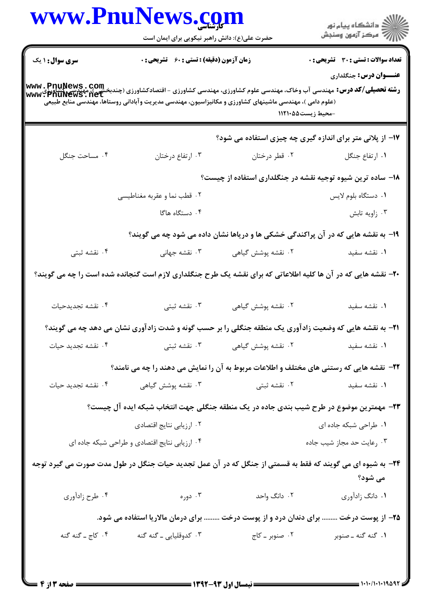|                        | www.PnuNews.com                                                                                                                                                                                                                                             |                                                                                   | الاد دانشگاه پيام نور<br>   > مرکز آزمون وسنجش |  |  |  |
|------------------------|-------------------------------------------------------------------------------------------------------------------------------------------------------------------------------------------------------------------------------------------------------------|-----------------------------------------------------------------------------------|------------------------------------------------|--|--|--|
|                        | حضرت علی(ع): دانش راهبر نیکویی برای ایمان است                                                                                                                                                                                                               |                                                                                   |                                                |  |  |  |
| <b>سری سوال : ۱ یک</b> | <b>زمان آزمون (دقیقه) : تستی : 60 ٪ تشریحی : 0</b>                                                                                                                                                                                                          |                                                                                   | <b>تعداد سوالات : تستی : 30 ٪ تشریحی : 0</b>   |  |  |  |
|                        |                                                                                                                                                                                                                                                             |                                                                                   | <b>عنـــوان درس:</b> جنگلداری                  |  |  |  |
|                        | <b>رشته تحصیلی/کد درس:</b> مهندسی آب وخاک، مهندسی علوم کشاورزی، مهندسی کشاورزی - اقتصادکشاورزی (چندبخشی )، مهندسی کشاورز<br> www • PhuNews • net<br>(علوم دامی )، مهندسی ماشینهای کشاورزی و مکانیزاسیون، مهندسی مدیریت وآبادانی روستاها، مهندسی منابع طبیعی |                                                                                   |                                                |  |  |  |
|                        |                                                                                                                                                                                                                                                             | -محيط زيست40111                                                                   |                                                |  |  |  |
|                        |                                                                                                                                                                                                                                                             | ۱۷- از پلانی متر برای اندازه گیری چه چیزی استفاده می شود؟                         |                                                |  |  |  |
| ۴. مساحت جنگل          | ۰۳ ارتفاع درختان                                                                                                                                                                                                                                            | ۰۲ قطر درختان                                                                     | ٠١ ارتفاع جنگل                                 |  |  |  |
|                        |                                                                                                                                                                                                                                                             | ۱۸– ساده ترین شیوه توجیه نقشه در جنگلداری استفاده از چیست؟                        |                                                |  |  |  |
|                        | ٢. قطب نما و عقربه مغناطيسي                                                                                                                                                                                                                                 |                                                                                   | ٠١ دستگاه بلوم لايس                            |  |  |  |
|                        | ۰۴ دستگاه هاگا                                                                                                                                                                                                                                              |                                                                                   | ۰۳ زاويه تابش                                  |  |  |  |
|                        |                                                                                                                                                                                                                                                             | ۱۹- به نقشه هایی که در آن پراکندگی خشکی ها و دریاها نشان داده می شود چه می گویند؟ |                                                |  |  |  |
| ۰۴ نقشه ثبتی           | ۰۳ نقشه جهانی                                                                                                                                                                                                                                               | ۰۲ نقشه پوشش گیاهی                                                                | ٠١ نقشه سفيد                                   |  |  |  |
|                        | ۲۰- نقشه هایی که در آن ها کلیه اطلاعاتی که برای نقشه یک طرح جنگلداری لازم است گنجانده شده است را چه می گویند؟                                                                                                                                               |                                                                                   |                                                |  |  |  |
| ۰۴ نقشه تجديدحيات      | ۰۳ نقشه ثبتی                                                                                                                                                                                                                                                | ۰۲ نقشه پوشش گیاهی                                                                | ٠١ نقشه سفيد                                   |  |  |  |
|                        | <b>۲۱</b> - به نقشه هایی که وضعیت زادآوری یک منطقه جنگلی را بر حسب گونه و شدت زادآوری نشان می دهد چه می گویند؟                                                                                                                                              |                                                                                   |                                                |  |  |  |
|                        | ۰۱ نقشه سفید میست است. تقشه پوشش گیاهی سیست است که تا است که نقشه تجدید حیات ۴۰ نقشه تجدید حیات ۲۰ نقشه ت                                                                                                                                                   |                                                                                   |                                                |  |  |  |
|                        | ۲۲- نقشه هایی که رستنی های مختلف و اطلاعات مربوط به آن را نمایش می دهند را چه می نامند؟                                                                                                                                                                     |                                                                                   |                                                |  |  |  |
| ۰۴ نقشه تجدید حیات     | ۰۳ نقشه پوشش گیاهی                                                                                                                                                                                                                                          | ۰۲ نقشه ثبت <i>ی</i>                                                              | ۰۱ نقشه سفید                                   |  |  |  |
|                        | ۲۳– مهمترین موضوع در طرح شیب بندی جاده در یک منطقه جنگلی جهت انتخاب شبکه ایده آل چیست؟                                                                                                                                                                      |                                                                                   |                                                |  |  |  |
|                        | ۰۲ ارزیابی نتایج اقتصادی                                                                                                                                                                                                                                    |                                                                                   | ٠١ طراحى شبكه جاده اى                          |  |  |  |
|                        | ۰۴ ارزیابی نتایج اقتصادی و طراحی شبکه جاده ای                                                                                                                                                                                                               |                                                                                   | ۰۳ رعایت حد مجاز شیب جاده                      |  |  |  |
|                        | ۲۴- به شیوه ای می گویند که فقط به قسمتی از جنگل که در آن عمل تجدید حیات جنگل در طول مدت صورت می گیرد توجه                                                                                                                                                   |                                                                                   | می شود؟                                        |  |  |  |
| ۰۴ طرح زادأوري         | ۰۳ دوره                                                                                                                                                                                                                                                     | ۰۲ دانگ واحد                                                                      | ۰۱ دانگ زادآوري                                |  |  |  |
|                        | ۲۵– از پوست درخت  برای دندان درد و از پوست درخت  برای درمان مالاریا استفاده می شود.                                                                                                                                                                         |                                                                                   |                                                |  |  |  |
|                        |                                                                                                                                                                                                                                                             |                                                                                   |                                                |  |  |  |